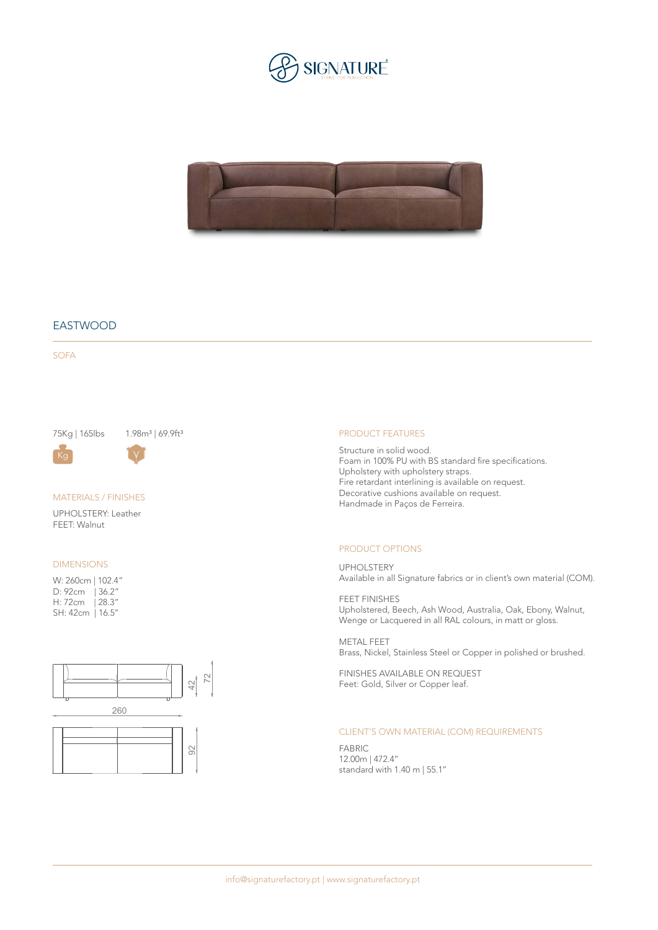



# EASTWOOD

SOFA

75Kg | 165lbs 1.98m<sup>3</sup> | 69.9ft<sup>3</sup>



MATERIALS / FINISHES

UPHOLSTERY: Leather FEET: Walnut

### DIMENSIONS

W: 260cm | 102.4" D: 92cm | 36.2" H: 72cm | 28.3" SH: 42cm | 16.5''



#### PRODUCT FEATURES

Structure in solid wood. Foam in 100% PU with BS standard fire specifications. Upholstery with upholstery straps. Fire retardant interlining is available on request. Decorative cushions available on request. Handmade in Paços de Ferreira.

#### PRODUCT OPTIONS

UPHOLSTERY Available in all Signature fabrics or in client's own material (COM).

FEET FINISHES Upholstered, Beech, Ash Wood, Australia, Oak, Ebony, Walnut, Wenge or Lacquered in all RAL colours, in matt or gloss.

METAL FEET Brass, Nickel, Stainless Steel or Copper in polished or brushed.

FINISHES AVAILABLE ON REQUEST Feet: Gold, Silver or Copper leaf.

## CLIENT'S OWN MATERIAL (COM) REQUIREMENTS

FABRIC 12.00m | 472.4'' standard with 1.40 m | 55.1''